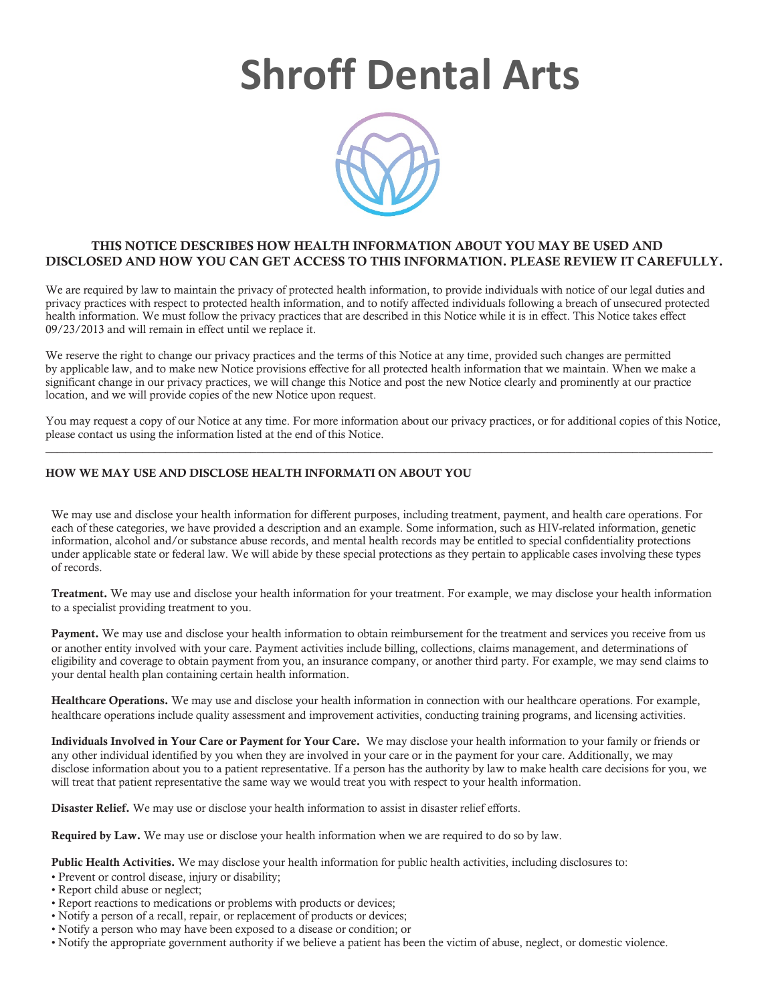## **Shroff Dental Arts**



## THIS NOTICE DESCRIBES HOW HEALTH INFORMATION ABOUT YOU MAY BE USED AND DISCLOSED AND HOW YOU CAN GET ACCESS TO THIS INFORMATION. PLEASE REVIEW IT CAREFULLY.

We are required by law to maintain the privacy of protected health information, to provide individuals with notice of our legal duties and privacy practices with respect to protected health information, and to notify affected individuals following a breach of unsecured protected health information. We must follow the privacy practices that are described in this Notice while it is in effect. This Notice takes effect 09/23/2013 and will remain in effect until we replace it.

We reserve the right to change our privacy practices and the terms of this Notice at any time, provided such changes are permitted by applicable law, and to make new Notice provisions effective for all protected health information that we maintain. When we make a significant change in our privacy practices, we will change this Notice and post the new Notice clearly and prominently at our practice location, and we will provide copies of the new Notice upon request.

You may request a copy of our Notice at any time. For more information about our privacy practices, or for additional copies of this Notice, please contact us using the information listed at the end of this Notice.  $\_$  , and the state of the state of the state of the state of the state of the state of the state of the state of the state of the state of the state of the state of the state of the state of the state of the state of the

## HOW WE MAY USE AND DISCLOSE HEALTH INFORMATI ON ABOUT YOU

We may use and disclose your health information for different purposes, including treatment, payment, and health care operations. For each of these categories, we have provided a description and an example. Some information, such as HIV-related information, genetic information, alcohol and/or substance abuse records, and mental health records may be entitled to special confidentiality protections under applicable state or federal law. We will abide by these special protections as they pertain to applicable cases involving these types of records.

Treatment. We may use and disclose your health information for your treatment. For example, we may disclose your health information to a specialist providing treatment to you.

Payment. We may use and disclose your health information to obtain reimbursement for the treatment and services you receive from us or another entity involved with your care. Payment activities include billing, collections, claims management, and determinations of eligibility and coverage to obtain payment from you, an insurance company, or another third party. For example, we may send claims to your dental health plan containing certain health information.

Healthcare Operations. We may use and disclose your health information in connection with our healthcare operations. For example, healthcare operations include quality assessment and improvement activities, conducting training programs, and licensing activities.

Individuals Involved in Your Care or Payment for Your Care. We may disclose your health information to your family or friends or any other individual identified by you when they are involved in your care or in the payment for your care. Additionally, we may disclose information about you to a patient representative. If a person has the authority by law to make health care decisions for you, we will treat that patient representative the same way we would treat you with respect to your health information.

Disaster Relief. We may use or disclose your health information to assist in disaster relief efforts.

Required by Law. We may use or disclose your health information when we are required to do so by law.

Public Health Activities. We may disclose your health information for public health activities, including disclosures to:

- Prevent or control disease, injury or disability;
- Report child abuse or neglect;
- Report reactions to medications or problems with products or devices;
- Notify a person of a recall, repair, or replacement of products or devices;
- Notify a person who may have been exposed to a disease or condition; or
- Notify the appropriate government authority if we believe a patient has been the victim of abuse, neglect, or domestic violence.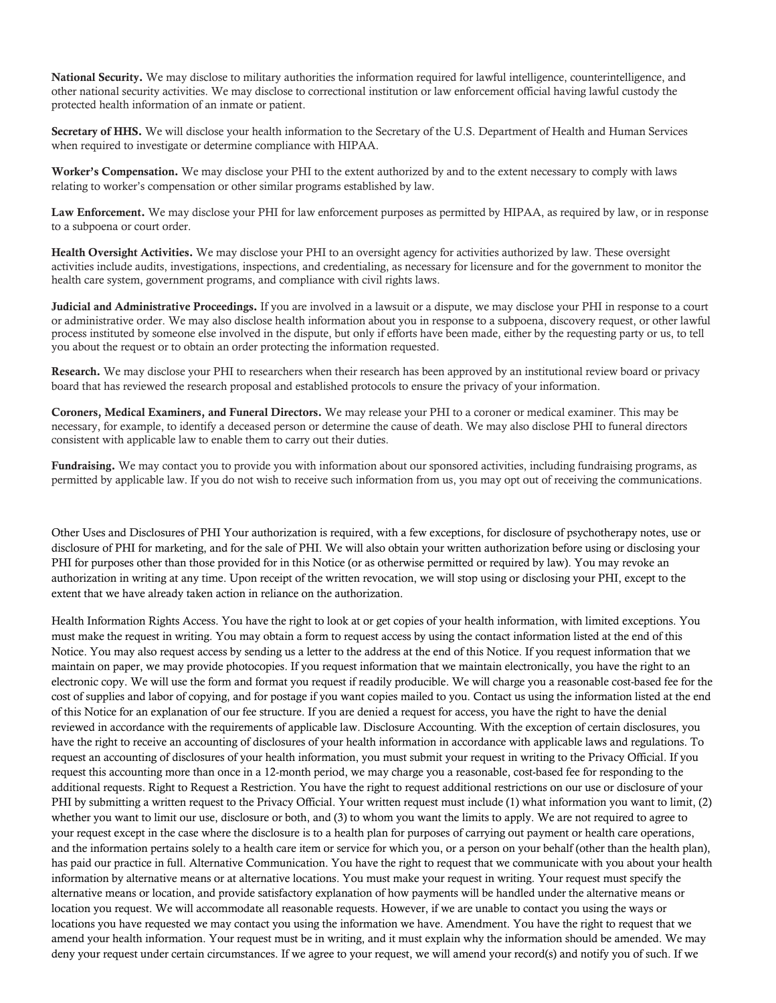National Security. We may disclose to military authorities the information required for lawful intelligence, counterintelligence, and other national security activities. We may disclose to correctional institution or law enforcement official having lawful custody the protected health information of an inmate or patient.

Secretary of HHS. We will disclose your health information to the Secretary of the U.S. Department of Health and Human Services when required to investigate or determine compliance with HIPAA.

Worker's Compensation. We may disclose your PHI to the extent authorized by and to the extent necessary to comply with laws relating to worker's compensation or other similar programs established by law.

Law Enforcement. We may disclose your PHI for law enforcement purposes as permitted by HIPAA, as required by law, or in response to a subpoena or court order.

Health Oversight Activities. We may disclose your PHI to an oversight agency for activities authorized by law. These oversight activities include audits, investigations, inspections, and credentialing, as necessary for licensure and for the government to monitor the health care system, government programs, and compliance with civil rights laws.

Judicial and Administrative Proceedings. If you are involved in a lawsuit or a dispute, we may disclose your PHI in response to a court or administrative order. We may also disclose health information about you in response to a subpoena, discovery request, or other lawful process instituted by someone else involved in the dispute, but only if efforts have been made, either by the requesting party or us, to tell you about the request or to obtain an order protecting the information requested.

Research. We may disclose your PHI to researchers when their research has been approved by an institutional review board or privacy board that has reviewed the research proposal and established protocols to ensure the privacy of your information.

Coroners, Medical Examiners, and Funeral Directors. We may release your PHI to a coroner or medical examiner. This may be necessary, for example, to identify a deceased person or determine the cause of death. We may also disclose PHI to funeral directors consistent with applicable law to enable them to carry out their duties.

Fundraising. We may contact you to provide you with information about our sponsored activities, including fundraising programs, as permitted by applicable law. If you do not wish to receive such information from us, you may opt out of receiving the communications.

Other Uses and Disclosures of PHI Your authorization is required, with a few exceptions, for disclosure of psychotherapy notes, use or disclosure of PHI for marketing, and for the sale of PHI. We will also obtain your written authorization before using or disclosing your PHI for purposes other than those provided for in this Notice (or as otherwise permitted or required by law). You may revoke an authorization in writing at any time. Upon receipt of the written revocation, we will stop using or disclosing your PHI, except to the extent that we have already taken action in reliance on the authorization.

Health Information Rights Access. You have the right to look at or get copies of your health information, with limited exceptions. You must make the request in writing. You may obtain a form to request access by using the contact information listed at the end of this Notice. You may also request access by sending us a letter to the address at the end of this Notice. If you request information that we maintain on paper, we may provide photocopies. If you request information that we maintain electronically, you have the right to an electronic copy. We will use the form and format you request if readily producible. We will charge you a reasonable cost-based fee for the cost of supplies and labor of copying, and for postage if you want copies mailed to you. Contact us using the information listed at the end of this Notice for an explanation of our fee structure. If you are denied a request for access, you have the right to have the denial reviewed in accordance with the requirements of applicable law. Disclosure Accounting. With the exception of certain disclosures, you have the right to receive an accounting of disclosures of your health information in accordance with applicable laws and regulations. To request an accounting of disclosures of your health information, you must submit your request in writing to the Privacy Official. If you request this accounting more than once in a 12-month period, we may charge you a reasonable, cost-based fee for responding to the additional requests. Right to Request a Restriction. You have the right to request additional restrictions on our use or disclosure of your PHI by submitting a written request to the Privacy Official. Your written request must include (1) what information you want to limit, (2) whether you want to limit our use, disclosure or both, and (3) to whom you want the limits to apply. We are not required to agree to your request except in the case where the disclosure is to a health plan for purposes of carrying out payment or health care operations, and the information pertains solely to a health care item or service for which you, or a person on your behalf (other than the health plan), has paid our practice in full. Alternative Communication. You have the right to request that we communicate with you about your health information by alternative means or at alternative locations. You must make your request in writing. Your request must specify the alternative means or location, and provide satisfactory explanation of how payments will be handled under the alternative means or location you request. We will accommodate all reasonable requests. However, if we are unable to contact you using the ways or locations you have requested we may contact you using the information we have. Amendment. You have the right to request that we amend your health information. Your request must be in writing, and it must explain why the information should be amended. We may deny your request under certain circumstances. If we agree to your request, we will amend your record(s) and notify you of such. If we